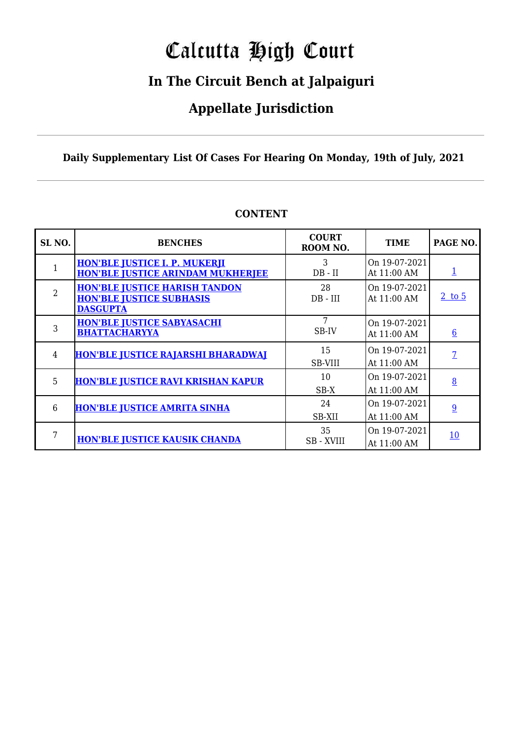## Calcutta High Court

## **In The Circuit Bench at Jalpaiguri**

### **Appellate Jurisdiction**

**Daily Supplementary List Of Cases For Hearing On Monday, 19th of July, 2021**

| SL <sub>NO</sub> . | <b>BENCHES</b>                                                                             | <b>COURT</b><br>ROOM NO. | <b>TIME</b>                  | PAGE NO.                 |
|--------------------|--------------------------------------------------------------------------------------------|--------------------------|------------------------------|--------------------------|
|                    | <b>HON'BLE JUSTICE I. P. MUKERJI</b><br><b>HON'BLE JUSTICE ARINDAM MUKHERJEE</b>           | 3<br>$DB - II$           | On 19-07-2021<br>At 11:00 AM | $\mathbf{\underline{1}}$ |
| $\overline{2}$     | <b>HON'BLE JUSTICE HARISH TANDON</b><br><b>HON'BLE JUSTICE SUBHASIS</b><br><b>DASGUPTA</b> | 28<br>DB - III           | On 19-07-2021<br>At 11:00 AM | $2$ to 5                 |
| 3                  | <b>HON'BLE JUSTICE SABYASACHI</b><br><b>BHATTACHARYYA</b>                                  | 7<br>SB-IV               | On 19-07-2021<br>At 11:00 AM | $6\overline{6}$          |
| 4                  | <b>HON'BLE JUSTICE RAJARSHI BHARADWAI</b>                                                  | 15<br>SB-VIII            | On 19-07-2021<br>At 11:00 AM | $\overline{7}$           |
| 5                  | <b>HON'BLE JUSTICE RAVI KRISHAN KAPUR</b>                                                  | 10<br>$SB-X$             | On 19-07-2021<br>At 11:00 AM | 8                        |
| 6                  | <b>HON'BLE JUSTICE AMRITA SINHA</b>                                                        | 24<br>SB-XII             | On 19-07-2021<br>At 11:00 AM | 9                        |
| 7                  | <b>HON'BLE JUSTICE KAUSIK CHANDA</b>                                                       | 35<br><b>SB</b> - XVIII  | On 19-07-2021<br>At 11:00 AM | <u>10</u>                |

### **CONTENT**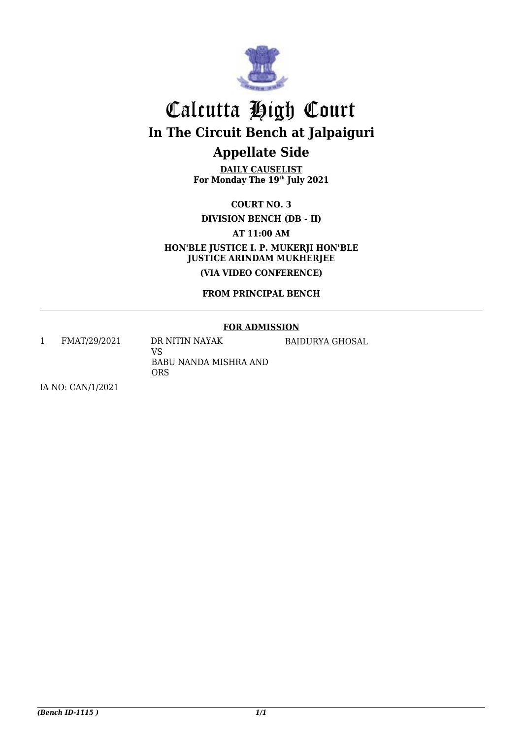

### **Appellate Side**

**DAILY CAUSELIST For Monday The 19th July 2021**

**COURT NO. 3**

**DIVISION BENCH (DB - II)** 

**AT 11:00 AM**

**HON'BLE JUSTICE I. P. MUKERJI HON'BLE JUSTICE ARINDAM MUKHERJEE**

**(VIA VIDEO CONFERENCE)**

#### **FROM PRINCIPAL BENCH**

#### **FOR ADMISSION**

<span id="page-1-1"></span><span id="page-1-0"></span>1 FMAT/29/2021 DR NITIN NAYAK

BAIDURYA GHOSAL

VS BABU NANDA MISHRA AND **ORS** 

IA NO: CAN/1/2021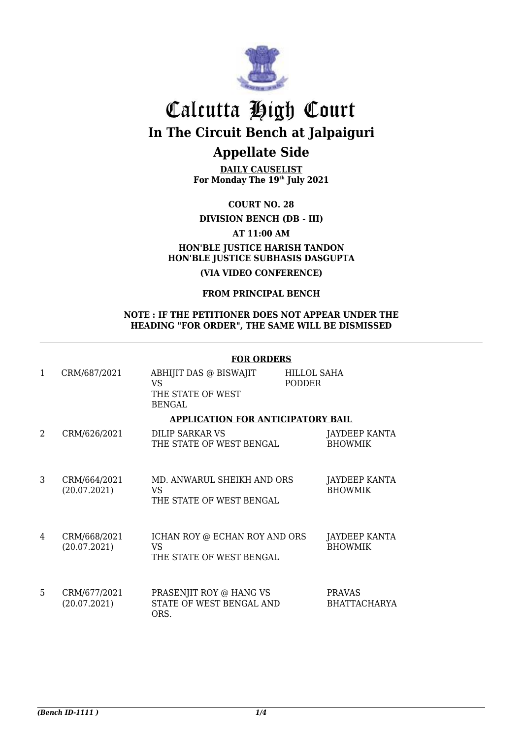

### **Appellate Side**

**DAILY CAUSELIST For Monday The 19th July 2021**

**COURT NO. 28**

**DIVISION BENCH (DB - III)** 

#### <span id="page-2-0"></span>**AT 11:00 AM HON'BLE JUSTICE HARISH TANDON HON'BLE JUSTICE SUBHASIS DASGUPTA**

**(VIA VIDEO CONFERENCE)** 

#### **FROM PRINCIPAL BENCH**

#### <span id="page-2-1"></span>**NOTE : IF THE PETITIONER DOES NOT APPEAR UNDER THE HEADING "FOR ORDER", THE SAME WILL BE DISMISSED**

#### **FOR ORDERS**

| 1 | CRM/687/2021                      | ABHIJIT DAS @ BISWAJIT<br>VS<br>THE STATE OF WEST<br><b>BENGAL</b> | HILLOL SAHA<br><b>PODDER</b> |                                      |
|---|-----------------------------------|--------------------------------------------------------------------|------------------------------|--------------------------------------|
|   | APPLICATION FOR ANTICIPATORY BAIL |                                                                    |                              |                                      |
| 2 | CRM/626/2021                      | DILIP SARKAR VS<br>THE STATE OF WEST BENGAL                        |                              | JAYDEEP KANTA<br><b>BHOWMIK</b>      |
| 3 | CRM/664/2021<br>(20.07.2021)      | MD. ANWARUL SHEIKH AND ORS<br>VS<br>THE STATE OF WEST BENGAL       |                              | JAYDEEP KANTA<br><b>BHOWMIK</b>      |
| 4 | CRM/668/2021<br>(20.07.2021)      | ICHAN ROY @ ECHAN ROY AND ORS<br>VS<br>THE STATE OF WEST BENGAL    |                              | JAYDEEP KANTA<br><b>BHOWMIK</b>      |
| 5 | CRM/677/2021<br>(20.07.2021)      | PRASENJIT ROY @ HANG VS<br>STATE OF WEST BENGAL AND<br>ORS.        |                              | <b>PRAVAS</b><br><b>BHATTACHARYA</b> |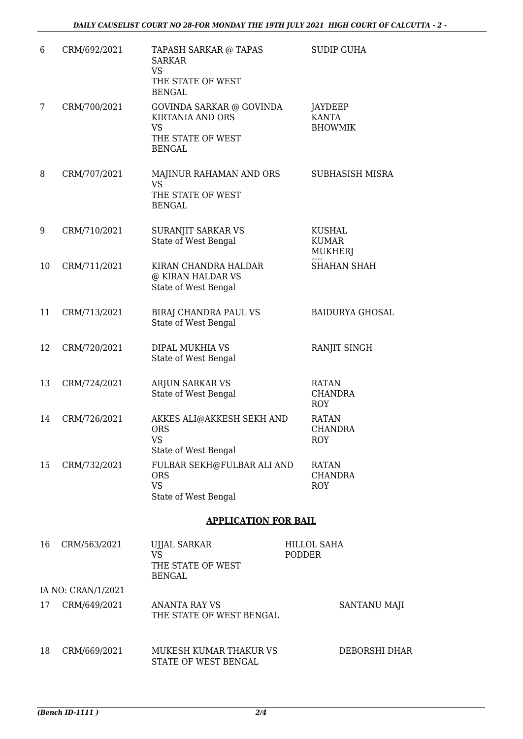| 6  | CRM/692/2021       | TAPASH SARKAR @ TAPAS<br><b>SARKAR</b><br><b>VS</b><br>THE STATE OF WEST<br><b>BENGAL</b> | <b>SUDIP GUHA</b>                               |
|----|--------------------|-------------------------------------------------------------------------------------------|-------------------------------------------------|
| 7  | CRM/700/2021       | GOVINDA SARKAR @ GOVINDA<br><b>KIRTANIA AND ORS</b><br>VS<br>THE STATE OF WEST            | JAYDEEP<br><b>KANTA</b><br><b>BHOWMIK</b>       |
|    |                    | <b>BENGAL</b>                                                                             |                                                 |
| 8  | CRM/707/2021       | MAJINUR RAHAMAN AND ORS<br>VS<br>THE STATE OF WEST<br><b>BENGAL</b>                       | SUBHASISH MISRA                                 |
| 9  | CRM/710/2021       | <b>SURANJIT SARKAR VS</b><br>State of West Bengal                                         | <b>KUSHAL</b><br><b>KUMAR</b><br><b>MUKHERJ</b> |
| 10 | CRM/711/2021       | KIRAN CHANDRA HALDAR<br>@ KIRAN HALDAR VS<br>State of West Bengal                         | <b>SHAHAN SHAH</b>                              |
| 11 | CRM/713/2021       | BIRAJ CHANDRA PAUL VS<br>State of West Bengal                                             | <b>BAIDURYA GHOSAL</b>                          |
| 12 | CRM/720/2021       | DIPAL MUKHIA VS<br>State of West Bengal                                                   | RANJIT SINGH                                    |
| 13 | CRM/724/2021       | <b>ARJUN SARKAR VS</b><br>State of West Bengal                                            | <b>RATAN</b><br><b>CHANDRA</b><br><b>ROY</b>    |
| 14 | CRM/726/2021       | AKKES ALI@AKKESH SEKH AND<br><b>ORS</b><br><b>VS</b><br>State of West Bengal              | RATAN<br><b>CHANDRA</b><br><b>ROY</b>           |
| 15 | CRM/732/2021       | FULBAR SEKH@FULBAR ALI AND<br><b>ORS</b><br><b>VS</b><br>State of West Bengal             | <b>RATAN</b><br><b>CHANDRA</b><br><b>ROY</b>    |
|    |                    |                                                                                           |                                                 |
|    |                    | <b>APPLICATION FOR BAIL</b>                                                               |                                                 |
| 16 | CRM/563/2021       | UJJAL SARKAR<br><b>VS</b><br>THE STATE OF WEST<br><b>BENGAL</b>                           | HILLOL SAHA<br><b>PODDER</b>                    |
|    | IA NO: CRAN/1/2021 |                                                                                           |                                                 |
| 17 | CRM/649/2021       | <b>ANANTA RAY VS</b><br>THE STATE OF WEST BENGAL                                          | SANTANU MAJI                                    |
| 18 | CRM/669/2021       | MUKESH KUMAR THAKUR VS                                                                    | DEBORSHI DHAR                                   |

STATE OF WEST BENGAL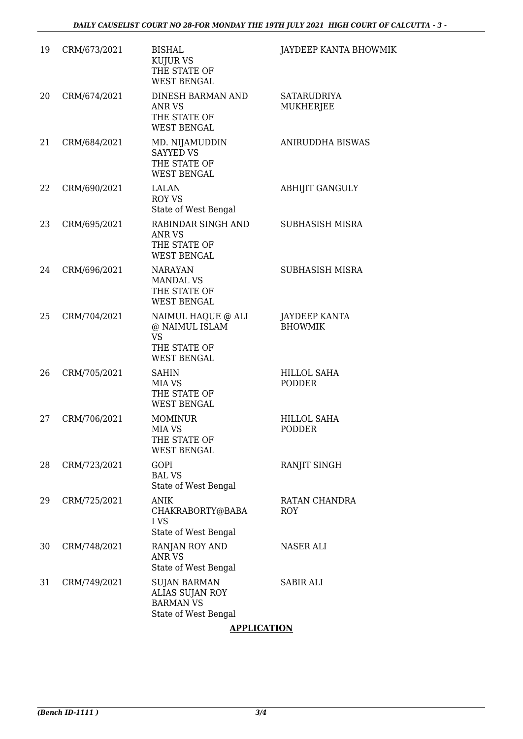| 19 | CRM/673/2021 | <b>BISHAL</b><br><b>KUJUR VS</b><br>THE STATE OF<br><b>WEST BENGAL</b>                  | JAYDEEP KANTA BHOWMIK                  |
|----|--------------|-----------------------------------------------------------------------------------------|----------------------------------------|
| 20 | CRM/674/2021 | DINESH BARMAN AND<br><b>ANR VS</b><br>THE STATE OF<br><b>WEST BENGAL</b>                | <b>SATARUDRIYA</b><br><b>MUKHERJEE</b> |
| 21 | CRM/684/2021 | MD. NIJAMUDDIN<br><b>SAYYED VS</b><br>THE STATE OF<br><b>WEST BENGAL</b>                | ANIRUDDHA BISWAS                       |
| 22 | CRM/690/2021 | <b>LALAN</b><br><b>ROY VS</b><br>State of West Bengal                                   | <b>ABHIJIT GANGULY</b>                 |
| 23 | CRM/695/2021 | RABINDAR SINGH AND<br><b>ANR VS</b><br>THE STATE OF<br><b>WEST BENGAL</b>               | SUBHASISH MISRA                        |
| 24 | CRM/696/2021 | <b>NARAYAN</b><br><b>MANDAL VS</b><br>THE STATE OF<br><b>WEST BENGAL</b>                | <b>SUBHASISH MISRA</b>                 |
| 25 | CRM/704/2021 | NAIMUL HAQUE @ ALI<br>@ NAIMUL ISLAM<br><b>VS</b><br>THE STATE OF<br><b>WEST BENGAL</b> | <b>JAYDEEP KANTA</b><br><b>BHOWMIK</b> |
| 26 | CRM/705/2021 | <b>SAHIN</b><br>MIA VS<br>THE STATE OF<br><b>WEST BENGAL</b>                            | HILLOL SAHA<br><b>PODDER</b>           |
| 27 | CRM/706/2021 | <b>MOMINUR</b><br>MIA VS<br>THE STATE OF<br><b>WEST BENGAL</b>                          | HILLOL SAHA<br>PODDER                  |
| 28 | CRM/723/2021 | GOPI<br><b>BAL VS</b><br>State of West Bengal                                           | RANJIT SINGH                           |
| 29 | CRM/725/2021 | <b>ANIK</b><br>CHAKRABORTY@BABA<br>I VS<br>State of West Bengal                         | RATAN CHANDRA<br><b>ROY</b>            |
| 30 | CRM/748/2021 | RANJAN ROY AND<br><b>ANR VS</b><br>State of West Bengal                                 | NASER ALI                              |
| 31 | CRM/749/2021 | <b>SUJAN BARMAN</b><br>ALIAS SUJAN ROY<br><b>BARMAN VS</b><br>State of West Bengal      | SABIR ALI                              |

#### **APPLICATION**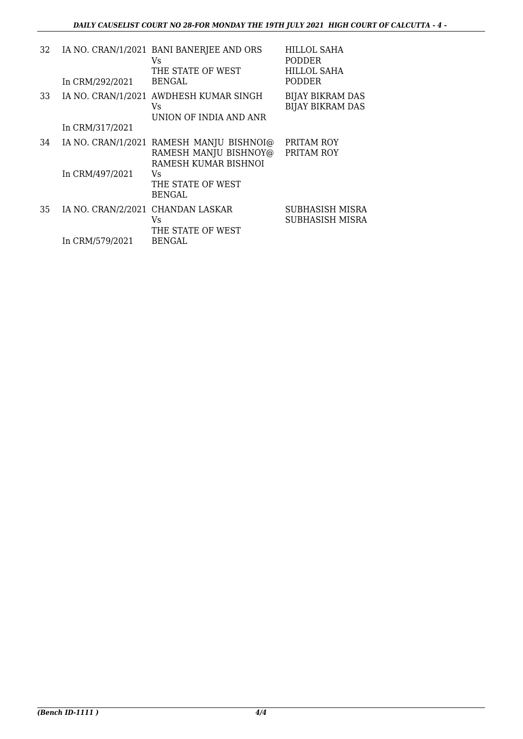| 32 | In CRM/292/2021                   | IA NO. CRAN/1/2021 BANI BANERJEE AND ORS<br>Vs<br>THE STATE OF WEST<br><b>BENGAL</b>      | <b>HILLOL SAHA</b><br><b>PODDER</b><br><b>HILLOL SAHA</b><br><b>PODDER</b> |
|----|-----------------------------------|-------------------------------------------------------------------------------------------|----------------------------------------------------------------------------|
| 33 |                                   | IA NO. CRAN/1/2021 AWDHESH KUMAR SINGH<br>Vs.<br>UNION OF INDIA AND ANR                   | <b>BIJAY BIKRAM DAS</b><br><b>BIJAY BIKRAM DAS</b>                         |
|    | In CRM/317/2021                   |                                                                                           |                                                                            |
| 34 |                                   | IA NO. CRAN/1/2021 RAMESH MANJU BISHNOI@<br>RAMESH MANJU BISHNOY@<br>RAMESH KUMAR BISHNOI | PRITAM ROY<br>PRITAM ROY                                                   |
|    | In CRM/497/2021                   | Vs<br>THE STATE OF WEST<br><b>BENGAL</b>                                                  |                                                                            |
| 35 | IA NO. CRAN/2/2021 CHANDAN LASKAR | Vs<br>THE STATE OF WEST                                                                   | SUBHASISH MISRA<br>SUBHASISH MISRA                                         |
|    | In CRM/579/2021                   | <b>BENGAL</b>                                                                             |                                                                            |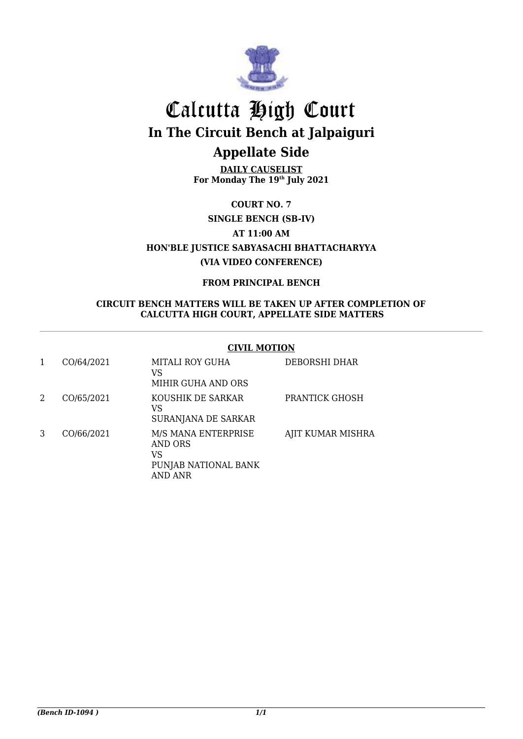

### **Appellate Side**

**DAILY CAUSELIST For Monday The 19th July 2021**

**COURT NO. 7**

<span id="page-6-0"></span>**SINGLE BENCH (SB-IV) AT 11:00 AM HON'BLE JUSTICE SABYASACHI BHATTACHARYYA (VIA VIDEO CONFERENCE)**

#### **FROM PRINCIPAL BENCH**

#### <span id="page-6-1"></span>**CIRCUIT BENCH MATTERS WILL BE TAKEN UP AFTER COMPLETION OF CALCUTTA HIGH COURT, APPELLATE SIDE MATTERS**

#### **CIVIL MOTION**

| 1 | CO/64/2021 | MITALI ROY GUHA<br>VS<br>MIHIR GUHA AND ORS                             | DEBORSHI DHAR     |
|---|------------|-------------------------------------------------------------------------|-------------------|
| 2 | CO/65/2021 | KOUSHIK DE SARKAR<br>VS<br>SURANJANA DE SARKAR                          | PRANTICK GHOSH    |
| 3 | CO/66/2021 | M/S MANA ENTERPRISE<br>AND ORS<br>VS<br>PUNJAB NATIONAL BANK<br>AND ANR | AJIT KUMAR MISHRA |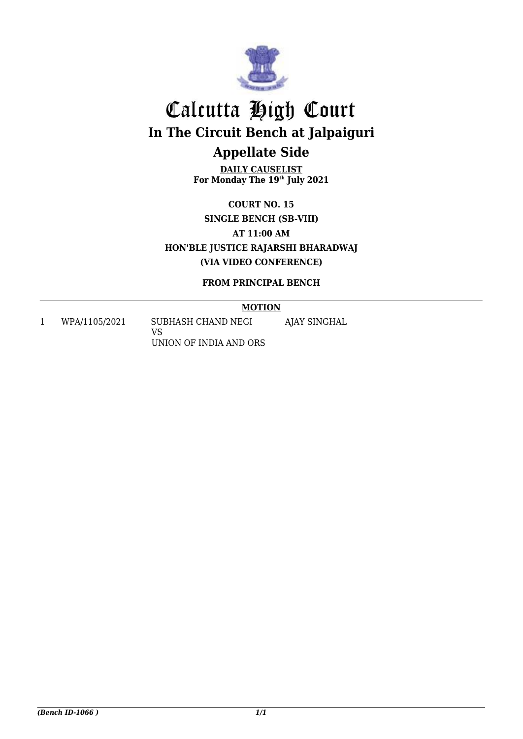

## **Appellate Side**

**DAILY CAUSELIST For Monday The 19th July 2021**

**COURT NO. 15 SINGLE BENCH (SB-VIII) AT 11:00 AM HON'BLE JUSTICE RAJARSHI BHARADWAJ (VIA VIDEO CONFERENCE)**

#### **FROM PRINCIPAL BENCH**

**MOTION**

<span id="page-7-1"></span><span id="page-7-0"></span>1 WPA/1105/2021 SUBHASH CHAND NEGI

VS UNION OF INDIA AND ORS AJAY SINGHAL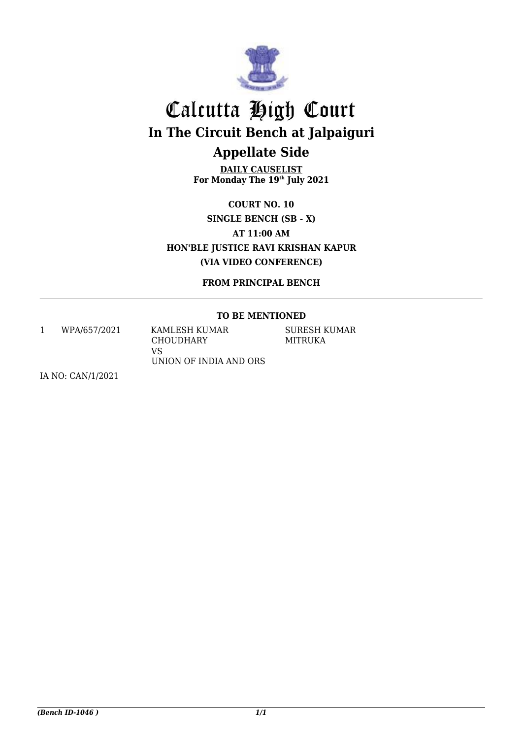

### **Appellate Side**

**DAILY CAUSELIST For Monday The 19th July 2021**

**COURT NO. 10 SINGLE BENCH (SB - X) AT 11:00 AM HON'BLE JUSTICE RAVI KRISHAN KAPUR (VIA VIDEO CONFERENCE)**

**FROM PRINCIPAL BENCH**

#### **TO BE MENTIONED**

<span id="page-8-1"></span><span id="page-8-0"></span>1 WPA/657/2021 KAMLESH KUMAR

**CHOUDHARY** VS UNION OF INDIA AND ORS SURESH KUMAR MITRUKA

IA NO: CAN/1/2021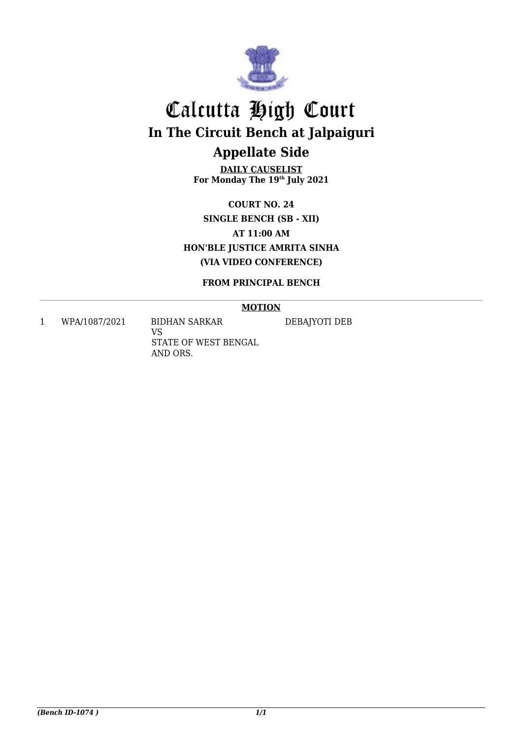

### **Appellate Side**

**DAILY CAUSELIST For Monday The 19th July 2021**

**COURT NO. 24 SINGLE BENCH (SB - XII) AT 11:00 AM HON'BLE JUSTICE AMRITA SINHA (VIA VIDEO CONFERENCE)**

#### **FROM PRINCIPAL BENCH**

**MOTION**

<span id="page-9-1"></span><span id="page-9-0"></span>1 WPA/1087/2021 BIDHAN SARKAR

VS STATE OF WEST BENGAL AND ORS.

DEBAJYOTI DEB